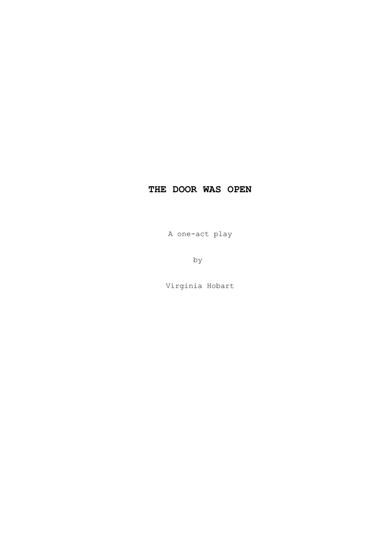A one-act play

by

Virginia Hobart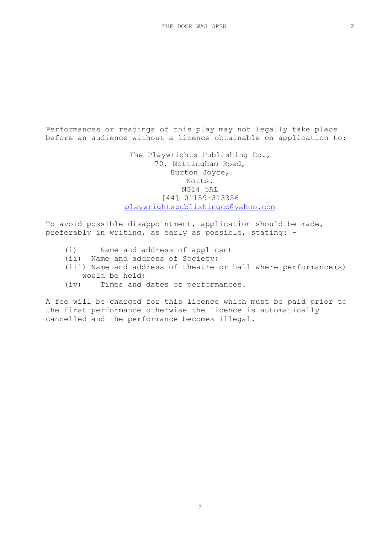Performances or readings of this play may not legally take place before an audience without a licence obtainable on application to:

> The Playwrights Publishing Co., 70, Nottingham Road, Burton Joyce, Notts. NG14 5AL [44] 01159-313356 [playwrightspublishingco@yahoo.com](mailto:playwrightspublishingco@yahoo.com)

To avoid possible disappointment, application should be made, preferably in writing, as early as possible, stating: -

- (i) Name and address of applicant
- (ii) Name and address of Society;
- (iii) Name and address of theatre or hall where performance(s) would be held;
- (iv) Times and dates of performances.

A fee will be charged for this licence which must be paid prior to the first performance otherwise the licence is automatically cancelled and the performance becomes illegal.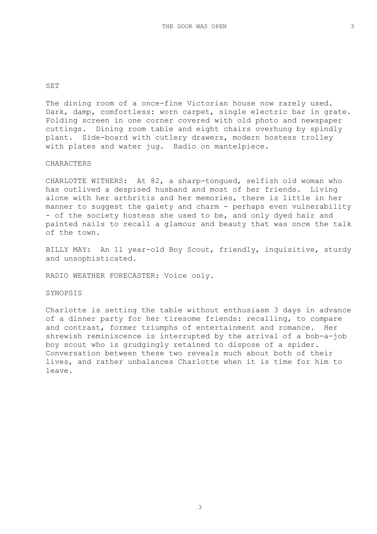The dining room of a once-fine Victorian house now rarely used. Dark, damp, comfortless: worn carpet, single electric bar in grate. Folding screen in one corner covered with old photo and newspaper cuttings. Dining room table and eight chairs overhung by spindly plant. Side-board with cutlery drawers, modern hostess trolley with plates and water jug. Radio on mantelpiece.

# CHARACTERS

CHARLOTTE WITHERS: At 82, a sharp-tongued, selfish old woman who has outlived a despised husband and most of her friends. Living alone with her arthritis and her memories, there is little in her manner to suggest the gaiety and charm - perhaps even vulnerability - of the society hostess she used to be, and only dyed hair and painted nails to recall a glamour and beauty that was once the talk of the town.

BILLY MAY: An 11 year-old Boy Scout, friendly, inquisitive, sturdy and unsophisticated.

RADIO WEATHER FORECASTER: Voice only.

SYNOPSIS

Charlotte is setting the table without enthusiasm 3 days in advance of a dinner party for her tiresome friends: recalling, to compare and contrast, former triumphs of entertainment and romance. Her shrewish reminiscence is interrupted by the arrival of a bob-a-job boy scout who is grudgingly retained to dispose of a spider. Conversation between these two reveals much about both of their lives, and rather unbalances Charlotte when it is time for him to leave.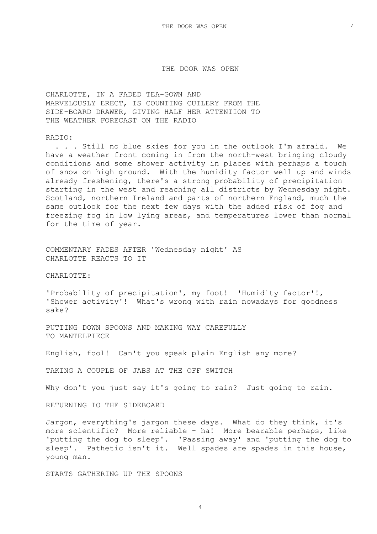CHARLOTTE, IN A FADED TEA-GOWN AND MARVELOUSLY ERECT, IS COUNTING CUTLERY FROM THE SIDE-BOARD DRAWER, GIVING HALF HER ATTENTION TO THE WEATHER FORECAST ON THE RADIO

# RADIO:

 . . . Still no blue skies for you in the outlook I'm afraid. We have a weather front coming in from the north-west bringing cloudy conditions and some shower activity in places with perhaps a touch of snow on high ground. With the humidity factor well up and winds already freshening, there's a strong probability of precipitation starting in the west and reaching all districts by Wednesday night. Scotland, northern Ireland and parts of northern England, much the same outlook for the next few days with the added risk of fog and freezing fog in low lying areas, and temperatures lower than normal for the time of year.

COMMENTARY FADES AFTER 'Wednesday night' AS CHARLOTTE REACTS TO IT

CHARLOTTE:

'Probability of precipitation', my foot! 'Humidity factor'!, 'Shower activity'! What's wrong with rain nowadays for goodness sake?

PUTTING DOWN SPOONS AND MAKING WAY CAREFULLY TO MANTELPIECE

English, fool! Can't you speak plain English any more?

TAKING A COUPLE OF JABS AT THE OFF SWITCH

Why don't you just say it's going to rain? Just going to rain.

RETURNING TO THE SIDEBOARD

Jargon, everything's jargon these days. What do they think, it's more scientific? More reliable - ha! More bearable perhaps, like 'putting the dog to sleep'. 'Passing away' and 'putting the dog to sleep'. Pathetic isn't it. Well spades are spades in this house, young man.

STARTS GATHERING UP THE SPOONS

4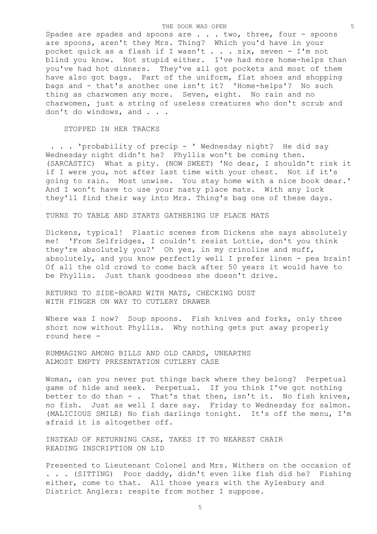Spades are spades and spoons are . . . two, three, four - spoons are spoons, aren't they Mrs. Thing? Which you'd have in your pocket quick as a flash if I wasn't . . . six, seven - I'm not blind you know. Not stupid either. I've had more home-helps than you've had hot dinners. They've all got pockets and most of them have also got bags. Part of the uniform, flat shoes and shopping bags and - that's another one isn't it? 'Home-helps'? No such thing as charwomen any more. Seven, eight. No rain and no charwomen, just a string of useless creatures who don't scrub and don't do windows, and . . .

## STOPPED IN HER TRACKS

 . . . 'probability of precip - ' Wednesday night? He did say Wednesday night didn't he? Phyllis won't be coming then. (SARCASTIC) What a pity. (NOW SWEET) 'No dear, I shouldn't risk it if I were you, not after last time with your chest. Not if it's going to rain. Most unwise. You stay home with a nice book dear.' And I won't have to use your nasty place mats. With any luck they'll find their way into Mrs. Thing's bag one of these days.

TURNS TO TABLE AND STARTS GATHERING UP PLACE MATS

Dickens, typical! Plastic scenes from Dickens she says absolutely me! 'From Selfridges, I couldn't resist Lottie, don't you think they're absolutely you?' Oh yes, in my crinoline and muff, absolutely, and you know perfectly well I prefer linen - pea brain! Of all the old crowd to come back after 50 years it would have to be Phyllis. Just thank goodness she doesn't drive.

RETURNS TO SIDE-BOARD WITH MATS, CHECKING DUST WITH FINGER ON WAY TO CUTLERY DRAWER

Where was I now? Soup spoons. Fish knives and forks, only three short now without Phyllis. Why nothing gets put away properly round here -

RUMMAGING AMONG BILLS AND OLD CARDS, UNEARTHS ALMOST EMPTY PRESENTATION CUTLERY CASE

Woman, can you never put things back where they belong? Perpetual game of hide and seek. Perpetual. If you think I've got nothing better to do than  $-$ . That's that then, isn't it. No fish knives, no fish. Just as well I dare say. Friday to Wednesday for salmon. (MALICIOUS SMILE) No fish darlings tonight. It's off the menu, I'm afraid it is altogether off.

INSTEAD OF RETURNING CASE, TAKES IT TO NEAREST CHAIR READING INSCRIPTION ON LID

Presented to Lieutenant Colonel and Mrs. Withers on the occasion of . . . (SITTING) Poor daddy, didn't even like fish did he? Fishing either, come to that. All those years with the Aylesbury and District Anglers: respite from mother I suppose.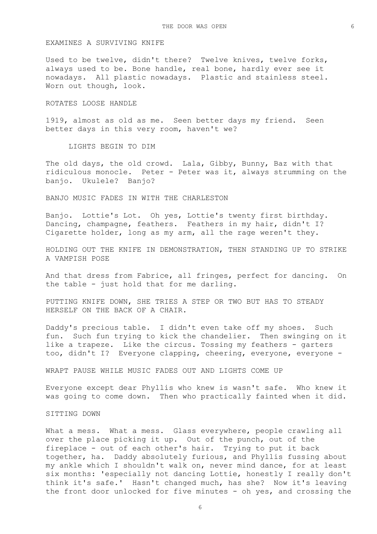## EXAMINES A SURVIVING KNIFE

Used to be twelve, didn't there? Twelve knives, twelve forks, always used to be. Bone handle, real bone, hardly ever see it nowadays. All plastic nowadays. Plastic and stainless steel. Worn out though, look.

#### ROTATES LOOSE HANDLE

1919, almost as old as me. Seen better days my friend. Seen better days in this very room, haven't we?

LIGHTS BEGIN TO DIM

The old days, the old crowd. Lala, Gibby, Bunny, Baz with that ridiculous monocle. Peter - Peter was it, always strumming on the banjo. Ukulele? Banjo?

BANJO MUSIC FADES IN WITH THE CHARLESTON

Banjo. Lottie's Lot. Oh yes, Lottie's twenty first birthday. Dancing, champagne, feathers. Feathers in my hair, didn't I? Cigarette holder, long as my arm, all the rage weren't they.

HOLDING OUT THE KNIFE IN DEMONSTRATION, THEN STANDING UP TO STRIKE A VAMPISH POSE

And that dress from Fabrice, all fringes, perfect for dancing. On the table - just hold that for me darling.

PUTTING KNIFE DOWN, SHE TRIES A STEP OR TWO BUT HAS TO STEADY HERSELF ON THE BACK OF A CHAIR.

Daddy's precious table. I didn't even take off my shoes. Such fun. Such fun trying to kick the chandelier. Then swinging on it like a trapeze. Like the circus. Tossing my feathers - garters too, didn't I? Everyone clapping, cheering, everyone, everyone -

WRAPT PAUSE WHILE MUSIC FADES OUT AND LIGHTS COME UP

Everyone except dear Phyllis who knew is wasn't safe. Who knew it was going to come down. Then who practically fainted when it did.

# SITTING DOWN

What a mess. What a mess. Glass everywhere, people crawling all over the place picking it up. Out of the punch, out of the fireplace - out of each other's hair. Trying to put it back together, ha. Daddy absolutely furious, and Phyllis fussing about my ankle which I shouldn't walk on, never mind dance, for at least six months: 'especially not dancing Lottie, honestly I really don't think it's safe.' Hasn't changed much, has she? Now it's leaving the front door unlocked for five minutes - oh yes, and crossing the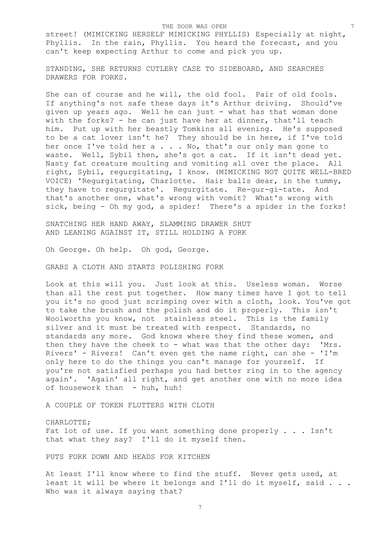street! (MIMICKING HERSELF MIMICKING PHYLLIS) Especially at night, Phyllis. In the rain, Phyllis. You heard the forecast, and you can't keep expecting Arthur to come and pick you up.

STANDING, SHE RETURNS CUTLERY CASE TO SIDEBOARD, AND SEARCHES DRAWERS FOR FORKS.

She can of course and he will, the old fool. Pair of old fools. If anything's not safe these days it's Arthur driving. Should've given up years ago. Well he can just - what has that woman done with the forks? - he can just have her at dinner, that'll teach him. Put up with her beastly Tomkins all evening. He's supposed to be a cat lover isn't he? They should be in here, if I've told her once I've told her a . . . No, that's our only man gone to waste. Well, Sybil then, she's got a cat. If it isn't dead yet. Nasty fat creature moulting and vomiting all over the place. All right, Sybil, regurgitating, I know. (MIMICKING NOT QUITE WELL-BRED VOICE) 'Regurgitating, Charlotte. Hair balls dear, in the tummy, they have to regurgitate'. Regurgitate. Re-gur-gi-tate. And that's another one, what's wrong with vomit? What's wrong with sick, being - Oh my god, a spider! There's a spider in the forks!

SNATCHING HER HAND AWAY, SLAMMING DRAWER SHUT AND LEANING AGAINST IT, STILL HOLDING A FORK

Oh George. Oh help. Oh god, George.

GRABS A CLOTH AND STARTS POLISHING FORK

Look at this will you. Just look at this. Useless woman. Worse than all the rest put together. How many times have I got to tell you it's no good just scrimping over with a cloth, look. You've got to take the brush and the polish and do it properly. This isn't Woolworths you know, not stainless steel. This is the family silver and it must be treated with respect. Standards, no standards any more. God knows where they find these women, and then they have the cheek to - what was that the other day: 'Mrs. Rivers' - Rivers! Can't even get the name right, can she - 'I'm only here to do the things you can't manage for yourself. If you're not satisfied perhaps you had better ring in to the agency again'. 'Again' all right, and get another one with no more idea of housework than - huh, huh!

A COUPLE OF TOKEN FLUTTERS WITH CLOTH

CHARLOTTE; Fat lot of use. If you want something done properly . . . Isn't that what they say? I'll do it myself then.

PUTS FORK DOWN AND HEADS FOR KITCHEN

At least I'll know where to find the stuff. Never gets used, at least it will be where it belongs and I'll do it myself, said . . . Who was it always saying that?

7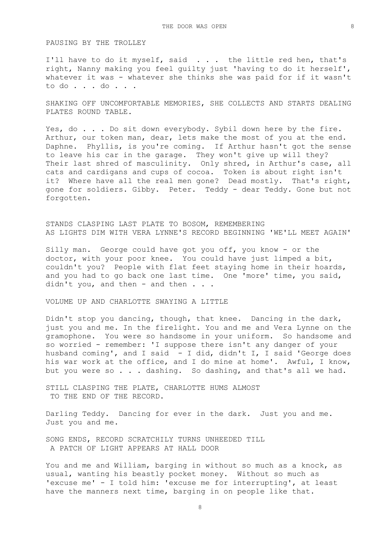### PAUSING BY THE TROLLEY

I'll have to do it myself, said . . . the little red hen, that's right, Nanny making you feel guilty just 'having to do it herself', whatever it was - whatever she thinks she was paid for if it wasn't to do . . . do . . .

SHAKING OFF UNCOMFORTABLE MEMORIES, SHE COLLECTS AND STARTS DEALING PLATES ROUND TABLE.

Yes, do . . . Do sit down everybody. Sybil down here by the fire. Arthur, our token man, dear, lets make the most of you at the end. Daphne. Phyllis, is you're coming. If Arthur hasn't got the sense to leave his car in the garage. They won't give up will they? Their last shred of masculinity. Only shred, in Arthur's case, all cats and cardigans and cups of cocoa. Token is about right isn't it? Where have all the real men gone? Dead mostly. That's right, gone for soldiers. Gibby. Peter. Teddy - dear Teddy. Gone but not forgotten.

STANDS CLASPING LAST PLATE TO BOSOM, REMEMBERING AS LIGHTS DIM WITH VERA LYNNE'S RECORD BEGINNING 'WE'LL MEET AGAIN'

Silly man. George could have got you off, you know - or the doctor, with your poor knee. You could have just limped a bit, couldn't you? People with flat feet staying home in their hoards, and you had to go back one last time. One 'more' time, you said, didn't you, and then - and then . . .

VOLUME UP AND CHARLOTTE SWAYING A LITTLE

Didn't stop you dancing, though, that knee. Dancing in the dark, just you and me. In the firelight. You and me and Vera Lynne on the gramophone. You were so handsome in your uniform. So handsome and so worried - remember: 'I suppose there isn't any danger of your husband coming', and I said - I did, didn't I, I said 'George does his war work at the office, and I do mine at home'. Awful, I know, but you were so . . . dashing. So dashing, and that's all we had.

STILL CLASPING THE PLATE, CHARLOTTE HUMS ALMOST TO THE END OF THE RECORD.

Darling Teddy. Dancing for ever in the dark. Just you and me. Just you and me.

SONG ENDS, RECORD SCRATCHILY TURNS UNHEEDED TILL A PATCH OF LIGHT APPEARS AT HALL DOOR

You and me and William, barging in without so much as a knock, as usual, wanting his beastly pocket money. Without so much as 'excuse me' - I told him: 'excuse me for interrupting', at least have the manners next time, barging in on people like that.